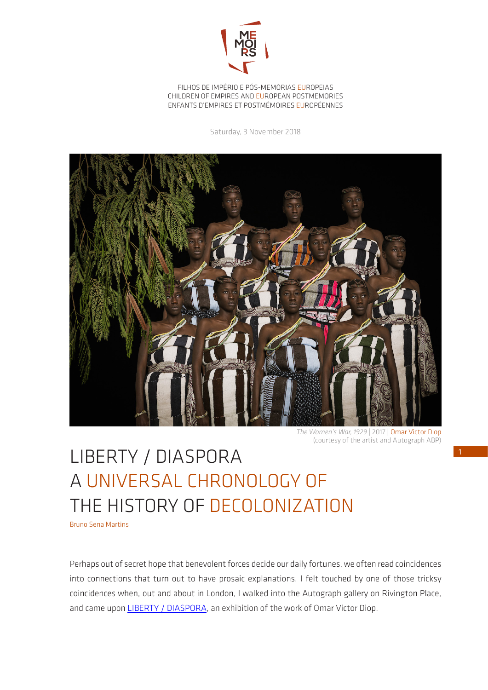

FILHOS DE IMPÉRIO E PÓS-MEMÓRIAS EUROPEIAS CHILDREN OF EMPIRES AND EUROPEAN POSTMEMORIES ENFANTS D'EMPIRES ET POSTMÉMOIRES EUROPÉENNES

Saturday, 3 November 2018



*The Women's War, 1929* | 2017 | Omar Victor Diop (courtesy of the artist and Autograph ABP)

## LIBERTY / DIASPORA A UNIVERSAL CHRONOLOGY OF THE HISTORY OF DECOLONIZATION

Bruno Sena Martins

Perhaps out of secret hope that benevolent forces decide our daily fortunes, we often read coincidences into connections that turn out to have prosaic explanations. I felt touched by one of those tricksy coincidences when, out and about in London, I walked into the Autograph gallery on Rivington Place, and came upon LIBERTY / DIASPORA, an exhibition of the work of Omar Victor Diop.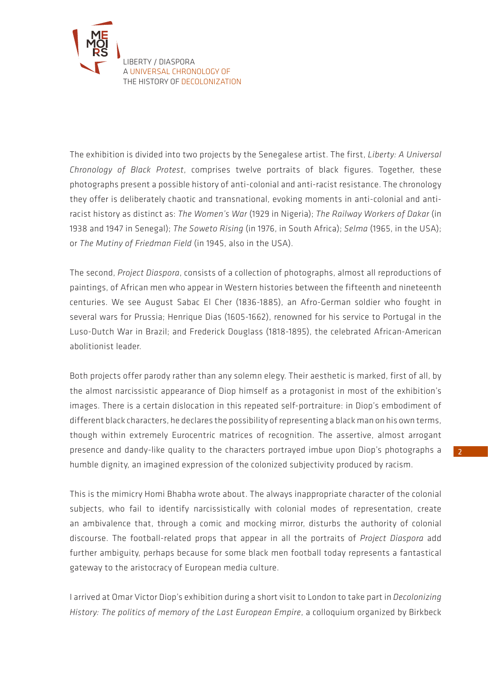

The exhibition is divided into two projects by the Senegalese artist. The first, *Liberty: A Universal Chronology of Black Protest*, comprises twelve portraits of black figures. Together, these photographs present a possible history of anti-colonial and anti-racist resistance. The chronology they offer is deliberately chaotic and transnational, evoking moments in anti-colonial and antiracist history as distinct as: *The Women's War* (1929 in Nigeria); *The Railway Workers of Dakar* (in 1938 and 1947 in Senegal); *The Soweto Rising* (in 1976, in South Africa); *Selma* (1965, in the USA); or *The Mutiny of Friedman Field* (in 1945, also in the USA).

The second, *Project Diaspora*, consists of a collection of photographs, almost all reproductions of paintings, of African men who appear in Western histories between the fifteenth and nineteenth centuries. We see August Sabac El Cher (1836-1885), an Afro-German soldier who fought in several wars for Prussia; Henrique Dias (1605-1662), renowned for his service to Portugal in the Luso-Dutch War in Brazil; and Frederick Douglass (1818-1895), the celebrated African-American abolitionist leader.

Both projects offer parody rather than any solemn elegy. Their aesthetic is marked, first of all, by the almost narcissistic appearance of Diop himself as a protagonist in most of the exhibition's images. There is a certain dislocation in this repeated self-portraiture: in Diop's embodiment of different black characters, he declares the possibility of representing a black man on his own terms, though within extremely Eurocentric matrices of recognition. The assertive, almost arrogant presence and dandy-like quality to the characters portrayed imbue upon Diop's photographs a humble dignity, an imagined expression of the colonized subjectivity produced by racism.

This is the mimicry Homi Bhabha wrote about. The always inappropriate character of the colonial subjects, who fail to identify narcissistically with colonial modes of representation, create an ambivalence that, through a comic and mocking mirror, disturbs the authority of colonial discourse. The football-related props that appear in all the portraits of *Project Diaspora* add further ambiguity, perhaps because for some black men football today represents a fantastical gateway to the aristocracy of European media culture.

I arrived at Omar Victor Diop's exhibition during a short visit to London to take part in *Decolonizing History: The politics of memory of the Last European Empire*, a colloquium organized by Birkbeck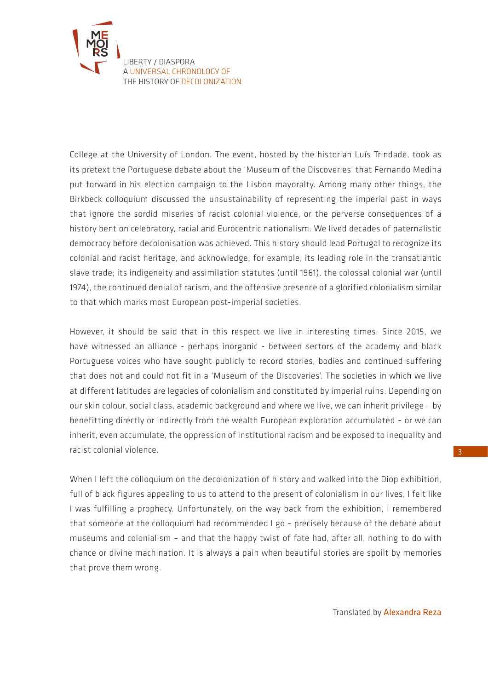

College at the University of London. The event, hosted by the historian Luís Trindade, took as its pretext the Portuguese debate about the 'Museum of the Discoveries' that Fernando Medina put forward in his election campaign to the Lisbon mayoralty. Among many other things, the Birkbeck colloquium discussed the unsustainability of representing the imperial past in ways that ignore the sordid miseries of racist colonial violence, or the perverse consequences of a history bent on celebratory, racial and Eurocentric nationalism. We lived decades of paternalistic democracy before decolonisation was achieved. This history should lead Portugal to recognize its colonial and racist heritage, and acknowledge, for example, its leading role in the transatlantic slave trade; its indigeneity and assimilation statutes (until 1961), the colossal colonial war (until 1974), the continued denial of racism, and the offensive presence of a glorified colonialism similar to that which marks most European post-imperial societies.

However, it should be said that in this respect we live in interesting times. Since 2015, we have witnessed an alliance - perhaps inorganic - between sectors of the academy and black Portuguese voices who have sought publicly to record stories, bodies and continued suffering that does not and could not fit in a 'Museum of the Discoveries'. The societies in which we live at different latitudes are legacies of colonialism and constituted by imperial ruins. Depending on our skin colour, social class, academic background and where we live, we can inherit privilege – by benefitting directly or indirectly from the wealth European exploration accumulated – or we can inherit, even accumulate, the oppression of institutional racism and be exposed to inequality and racist colonial violence.

When I left the colloquium on the decolonization of history and walked into the Diop exhibition, full of black figures appealing to us to attend to the present of colonialism in our lives, I felt like I was fulfilling a prophecy. Unfortunately, on the way back from the exhibition, I remembered that someone at the colloquium had recommended I go – precisely because of the debate about museums and colonialism – and that the happy twist of fate had, after all, nothing to do with chance or divine machination. It is always a pain when beautiful stories are spoilt by memories that prove them wrong.